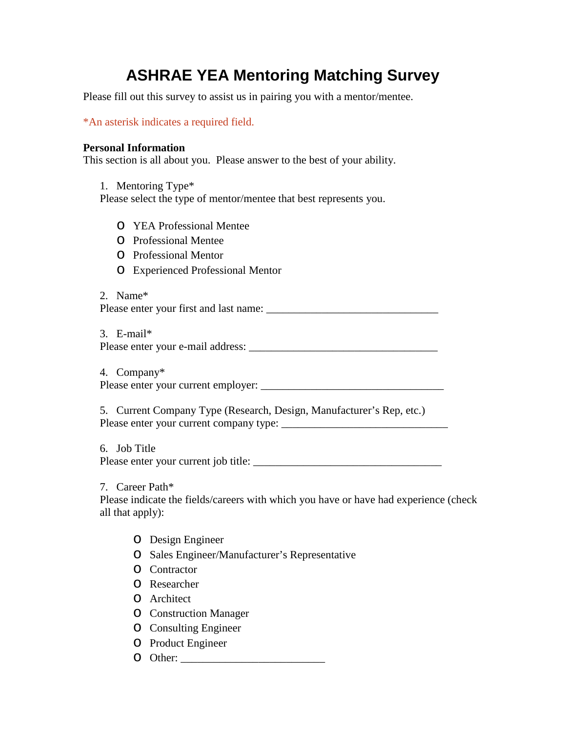# **ASHRAE YEA Mentoring Matching Survey**

Please fill out this survey to assist us in pairing you with a mentor/mentee.

\*An asterisk indicates a required field.

## **Personal Information**

This section is all about you. Please answer to the best of your ability.

1. Mentoring Type\* Please select the type of mentor/mentee that best represents you.

- o YEA Professional Mentee
- o Professional Mentee
- o Professional Mentor
- o Experienced Professional Mentor

2. Name\* Please enter your first and last name: \_\_\_\_\_\_\_\_\_\_\_\_\_\_\_\_\_\_\_\_\_\_\_\_\_\_\_\_\_\_\_

3. E-mail\* Please enter your e-mail address:

4. Company\* Please enter your current employer: \_\_\_\_\_\_\_\_\_\_\_\_\_\_\_\_\_\_\_\_\_\_\_\_\_\_\_\_\_\_\_\_\_

5. Current Company Type (Research, Design, Manufacturer's Rep, etc.) Please enter your current company type: \_\_\_\_\_\_\_\_\_\_\_\_\_\_\_\_\_\_\_\_\_\_\_\_\_\_\_\_\_\_

6. Job Title Please enter your current job title: \_\_\_\_\_\_\_\_\_\_\_\_\_\_\_\_\_\_\_\_\_\_\_\_\_\_\_\_\_\_\_\_\_\_

7. Career Path\*

Please indicate the fields/careers with which you have or have had experience (check all that apply):

- o Design Engineer
- o Sales Engineer/Manufacturer's Representative
- o Contractor
- o Researcher
- o Architect
- o Construction Manager
- o Consulting Engineer
- o Product Engineer
- o Other: \_\_\_\_\_\_\_\_\_\_\_\_\_\_\_\_\_\_\_\_\_\_\_\_\_\_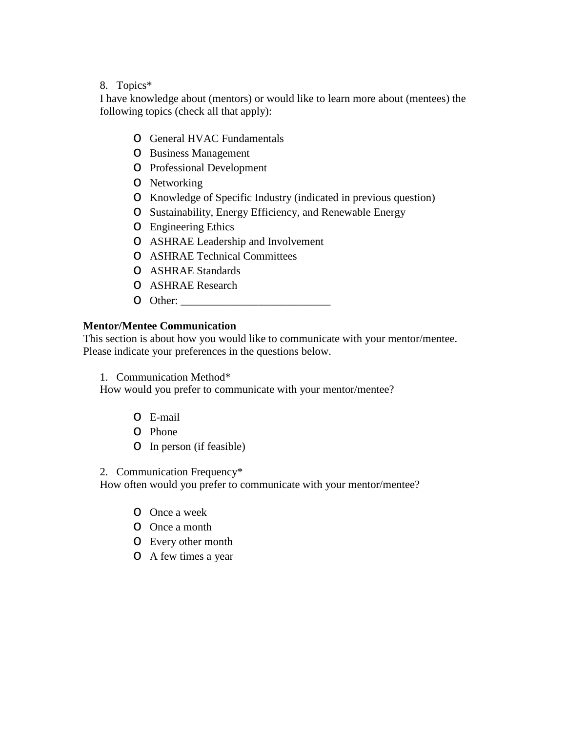## 8. Topics\*

I have knowledge about (mentors) or would like to learn more about (mentees) the following topics (check all that apply):

- o General HVAC Fundamentals
- o Business Management
- o Professional Development
- o Networking
- o Knowledge of Specific Industry (indicated in previous question)
- o Sustainability, Energy Efficiency, and Renewable Energy
- o Engineering Ethics
- o ASHRAE Leadership and Involvement
- o ASHRAE Technical Committees
- o ASHRAE Standards
- o ASHRAE Research
- o Other: \_\_\_\_\_\_\_\_\_\_\_\_\_\_\_\_\_\_\_\_\_\_\_\_\_\_\_

### **Mentor/Mentee Communication**

This section is about how you would like to communicate with your mentor/mentee. Please indicate your preferences in the questions below.

1. Communication Method\*

How would you prefer to communicate with your mentor/mentee?

- o E-mail
- o Phone
- o In person (if feasible)

2. Communication Frequency\*

How often would you prefer to communicate with your mentor/mentee?

- o Once a week
- o Once a month
- o Every other month
- o A few times a year